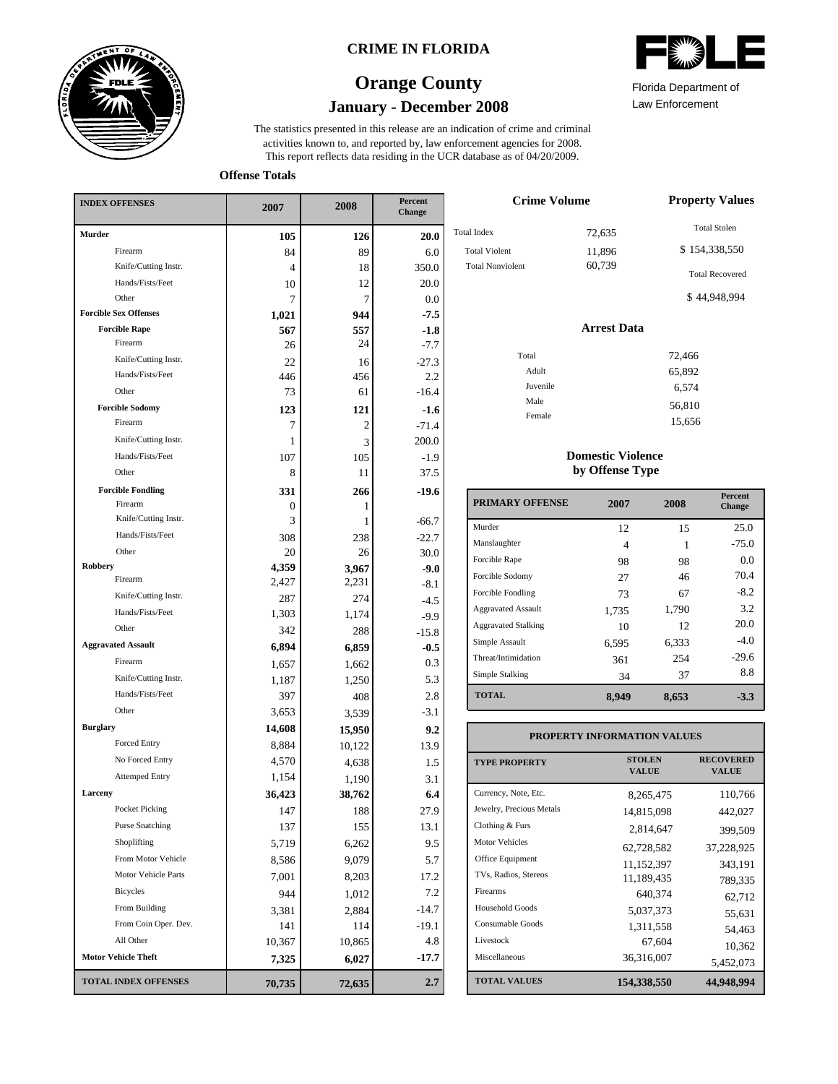

### **CRIME IN FLORIDA**

## **January - December 2008 Orange County**

This report reflects data residing in the UCR database as of 04/20/2009. activities known to, and reported by, law enforcement agencies for 2008. The statistics presented in this release are an indication of crime and criminal



Law Enforcement Florida Department of

**Offense Totals**

| <b>INDEX OFFENSES</b>        | 2007   | 2008   | <b>Percent</b><br><b>Change</b> |  |
|------------------------------|--------|--------|---------------------------------|--|
| <b>Murder</b>                | 105    | 126    | 20.0                            |  |
| Firearm                      | 84     | 89     | 6.0                             |  |
| Knife/Cutting Instr.         | 4      | 18     | 350.0                           |  |
| Hands/Fists/Feet             | 10     | 12     | 20.0                            |  |
| Other                        | 7      | 7      | 0.0                             |  |
| <b>Forcible Sex Offenses</b> | 1,021  | 944    | $-7.5$                          |  |
| <b>Forcible Rape</b>         | 567    | 557    | $-1.8$                          |  |
| Firearm                      | 26     | 24     | $-7.7$                          |  |
| Knife/Cutting Instr.         | 22     | 16     | $-27.3$                         |  |
| Hands/Fists/Feet             | 446    | 456    | $2.2\,$                         |  |
| Other                        | 73     | 61     | $-16.4$                         |  |
| <b>Forcible Sodomy</b>       | 123    | 121    | $-1.6$                          |  |
| Firearm                      | 7      | 2      | $-71.4$                         |  |
| Knife/Cutting Instr.         | 1      | 3      | 200.0                           |  |
| Hands/Fists/Feet             | 107    | 105    | $-1.9$                          |  |
| Other                        | 8      | 11     | 37.5                            |  |
| <b>Forcible Fondling</b>     | 331    | 266    | $-19.6$                         |  |
| Firearm                      | 0      | 1      |                                 |  |
| Knife/Cutting Instr.         | 3      | 1      | $-66.7$                         |  |
| Hands/Fists/Feet             | 308    | 238    | $-22.7$                         |  |
| Other                        | 20     | 26     | 30.0                            |  |
| Robbery<br>Firearm           | 4,359  | 3,967  | $-9.0$                          |  |
| Knife/Cutting Instr.         | 2,427  | 2,231  | $-8.1$                          |  |
| Hands/Fists/Feet             | 287    | 274    | $-4.5$                          |  |
| Other                        | 1,303  | 1,174  | $-9.9$                          |  |
|                              | 342    | 288    | $-15.8$                         |  |
| <b>Aggravated Assault</b>    | 6,894  | 6,859  | $-0.5$                          |  |
| Firearm                      | 1,657  | 1,662  | 0.3                             |  |
| Knife/Cutting Instr.         | 1,187  | 1,250  | 5.3                             |  |
| Hands/Fists/Feet             | 397    | 408    | 2.8                             |  |
| Other                        | 3,653  | 3,539  | $-3.1$                          |  |
| <b>Burglary</b>              | 14,608 | 15,950 | 9.2                             |  |
| Forced Entry                 | 8,884  | 10,122 | 13.9                            |  |
| No Forced Entry              | 4,570  | 4,638  | 1.5                             |  |
| <b>Attemped Entry</b>        | 1,154  | 1,190  | 3.1                             |  |
| Larceny                      | 36,423 | 38,762 | 6.4                             |  |
| <b>Pocket Picking</b>        | 147    | 188    | 27.9                            |  |
| <b>Purse Snatching</b>       | 137    | 155    | 13.1                            |  |
| Shoplifting                  | 5,719  | 6,262  | 9.5                             |  |
| From Motor Vehicle           | 8,586  | 9,079  | 5.7                             |  |
| Motor Vehicle Parts          | 7,001  | 8,203  | 17.2                            |  |
| Bicycles                     | 944    | 1,012  | 7.2                             |  |
| From Building                | 3,381  | 2,884  | $-14.7$                         |  |
| From Coin Oper. Dev.         | 141    | 114    | -19.1                           |  |
| All Other                    | 10,367 | 10,865 | 4.8                             |  |
| <b>Motor Vehicle Theft</b>   | 7,325  | 6,027  | $-17.7$                         |  |
| <b>TOTAL INDEX OFFENSES</b>  | 70,735 | 72,635 | 2.7                             |  |

| <b>Crime Volume</b>     | <b>Property Values</b> |                        |
|-------------------------|------------------------|------------------------|
| <b>Total Index</b>      | 72,635                 | <b>Total Stolen</b>    |
| <b>Total Violent</b>    | 11,896                 | \$154,338,550          |
| <b>Total Nonviolent</b> | 60,739                 | <b>Total Recovered</b> |
|                         |                        | \$44,948,994           |
|                         | <b>Arrest Data</b>     |                        |
| Total                   |                        | 72,466                 |
| Adult                   |                        | 65,892                 |
| Juvenile                |                        | 6,574                  |
| Male                    |                        | 56,810                 |
| Female                  |                        | 15,656                 |

#### **Domestic Violence by Offense Type**

| <b>PRIMARY OFFENSE</b>     | 2007  | 2008  | <b>Percent</b><br>Change |
|----------------------------|-------|-------|--------------------------|
| Murder                     | 12    | 15    | 25.0                     |
| Manslaughter               | 4     |       | $-75.0$                  |
| Forcible Rape              | 98    | 98    | 0.0                      |
| Forcible Sodomy            | 27    | 46    | 70.4                     |
| Forcible Fondling          | 73    | 67    | $-8.2$                   |
| <b>Aggravated Assault</b>  | 1,735 | 1,790 | 3.2                      |
| <b>Aggravated Stalking</b> | 10    | 12    | 20.0                     |
| Simple Assault             | 6,595 | 6,333 | $-4.0$                   |
| Threat/Intimidation        | 361   | 254   | $-29.6$                  |
| Simple Stalking            | 34    | 37    | 8.8                      |
| <b>TOTAL</b>               | 8.949 | 8,653 | $-3.3$                   |

### **PROPERTY INFORMATION VALUES**

| <b>TYPE PROPERTY</b>     | <b>STOLEN</b><br><b>VALUE</b> | <b>RECOVERED</b><br><b>VALUE</b> |
|--------------------------|-------------------------------|----------------------------------|
| Currency, Note, Etc.     | 8.265.475                     | 110,766                          |
| Jewelry, Precious Metals | 14,815,098                    | 442,027                          |
| Clothing & Furs          | 2,814,647                     | 399,509                          |
| Motor Vehicles           | 62,728,582                    | 37,228,925                       |
| Office Equipment         | 11,152,397                    | 343,191                          |
| TVs, Radios, Stereos     | 11,189,435                    | 789,335                          |
| Firearms                 | 640.374                       | 62,712                           |
| <b>Household Goods</b>   | 5,037,373                     | 55,631                           |
| Consumable Goods         | 1,311,558                     | 54,463                           |
| Livestock                | 67.604                        | 10,362                           |
| Miscellaneous            | 36,316,007                    | 5,452,073                        |
| <b>TOTAL VALUES</b>      | 154,338,550                   | 44,948,994                       |